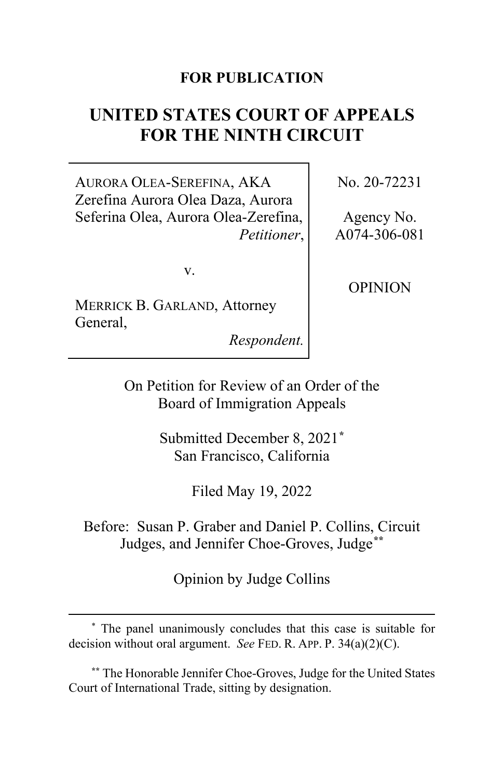# **FOR PUBLICATION**

# **UNITED STATES COURT OF APPEALS FOR THE NINTH CIRCUIT**

AURORA OLEA-SEREFINA, AKA Zerefina Aurora Olea Daza, Aurora Seferina Olea, Aurora Olea-Zerefina, *Petitioner*,

v.

MERRICK B. GARLAND, Attorney General,

*Respondent.*

No. 20-72231

Agency No. A074-306-081

OPINION

On Petition for Review of an Order of the Board of Immigration Appeals

> Submitted December 8, 2021**[\\*](#page-0-0)** San Francisco, California

> > Filed May 19, 2022

Before: Susan P. Graber and Daniel P. Collins, Circuit Judges, and Jennifer Choe-Groves, Judge**[\\*\\*](#page-0-1)**

Opinion by Judge Collins

<span id="page-0-1"></span>**\*\*** The Honorable Jennifer Choe-Groves, Judge for the United States Court of International Trade, sitting by designation.

<span id="page-0-0"></span><sup>\*</sup> The panel unanimously concludes that this case is suitable for decision without oral argument. *See* FED. R. APP. P. 34(a)(2)(C).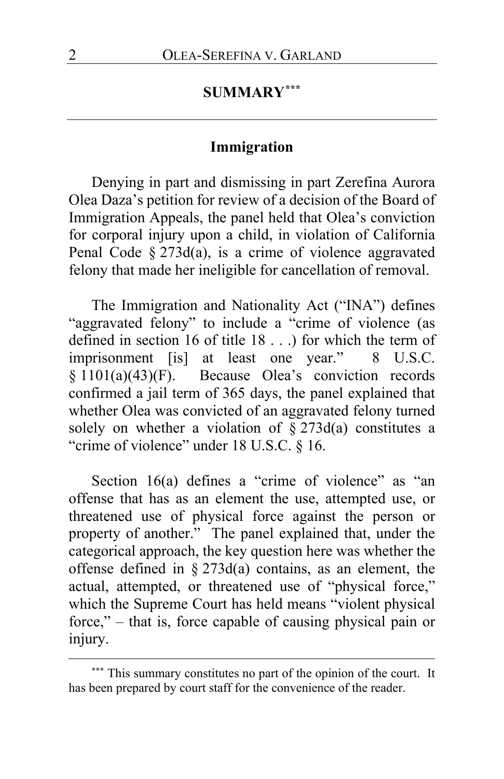# **SUMMARY[\\*\\*\\*](#page-1-0)**

## **Immigration**

Denying in part and dismissing in part Zerefina Aurora Olea Daza's petition for review of a decision of the Board of Immigration Appeals, the panel held that Olea's conviction for corporal injury upon a child, in violation of California Penal Code § 273d(a), is a crime of violence aggravated felony that made her ineligible for cancellation of removal.

The Immigration and Nationality Act ("INA") defines "aggravated felony" to include a "crime of violence (as defined in section 16 of title 18 . . .) for which the term of imprisonment [is] at least one year." 8 U.S.C. § 1101(a)(43)(F). Because Olea's conviction records confirmed a jail term of 365 days, the panel explained that whether Olea was convicted of an aggravated felony turned solely on whether a violation of  $\S$  273d(a) constitutes a "crime of violence" under 18 U.S.C. § 16.

Section 16(a) defines a "crime of violence" as "an offense that has as an element the use, attempted use, or threatened use of physical force against the person or property of another." The panel explained that, under the categorical approach, the key question here was whether the offense defined in § 273d(a) contains, as an element, the actual, attempted, or threatened use of "physical force," which the Supreme Court has held means "violent physical force," – that is, force capable of causing physical pain or injury.

<span id="page-1-0"></span>**<sup>\*\*\*</sup>** This summary constitutes no part of the opinion of the court. It has been prepared by court staff for the convenience of the reader.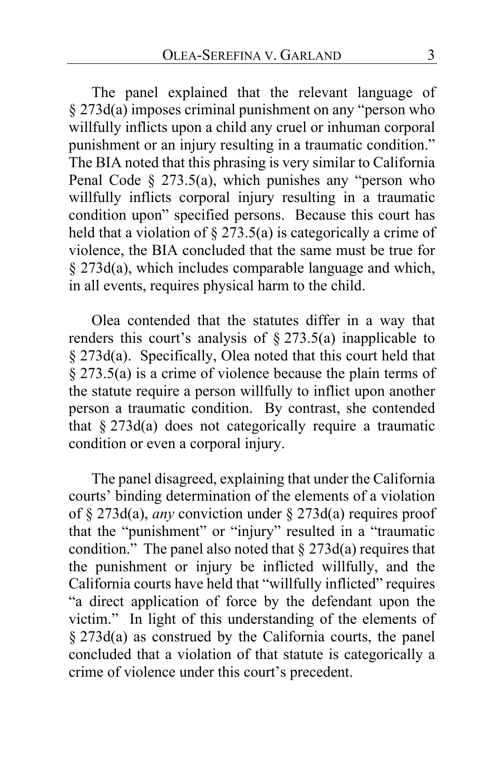The panel explained that the relevant language of § 273d(a) imposes criminal punishment on any "person who willfully inflicts upon a child any cruel or inhuman corporal punishment or an injury resulting in a traumatic condition." The BIA noted that this phrasing is very similar to California Penal Code  $\S$  273.5(a), which punishes any "person who willfully inflicts corporal injury resulting in a traumatic condition upon" specified persons. Because this court has held that a violation of  $\S 273.5(a)$  is categorically a crime of violence, the BIA concluded that the same must be true for § 273d(a), which includes comparable language and which, in all events, requires physical harm to the child.

Olea contended that the statutes differ in a way that renders this court's analysis of  $\S 273.5(a)$  inapplicable to § 273d(a). Specifically, Olea noted that this court held that § 273.5(a) is a crime of violence because the plain terms of the statute require a person willfully to inflict upon another person a traumatic condition. By contrast, she contended that  $§$  273d(a) does not categorically require a traumatic condition or even a corporal injury.

The panel disagreed, explaining that under the California courts' binding determination of the elements of a violation of § 273d(a), *any* conviction under § 273d(a) requires proof that the "punishment" or "injury" resulted in a "traumatic condition." The panel also noted that  $\S 273d(a)$  requires that the punishment or injury be inflicted willfully, and the California courts have held that "willfully inflicted" requires "a direct application of force by the defendant upon the victim." In light of this understanding of the elements of § 273d(a) as construed by the California courts, the panel concluded that a violation of that statute is categorically a crime of violence under this court's precedent.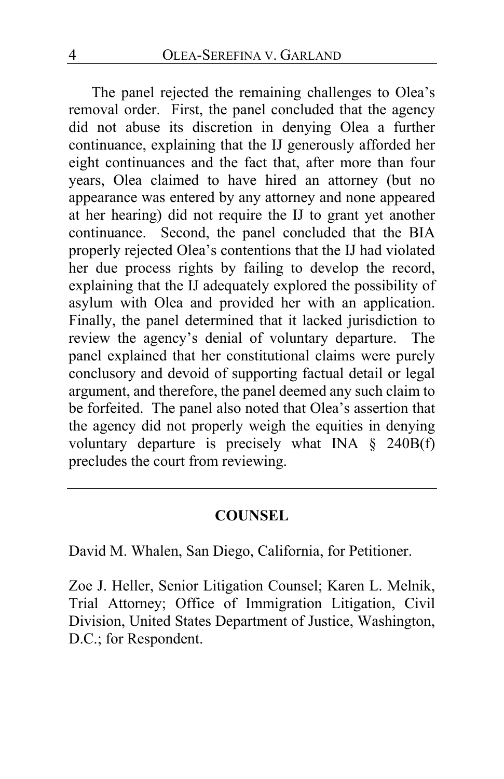The panel rejected the remaining challenges to Olea's removal order. First, the panel concluded that the agency did not abuse its discretion in denying Olea a further continuance, explaining that the IJ generously afforded her eight continuances and the fact that, after more than four years, Olea claimed to have hired an attorney (but no appearance was entered by any attorney and none appeared at her hearing) did not require the IJ to grant yet another Second, the panel concluded that the BIA properly rejected Olea's contentions that the IJ had violated her due process rights by failing to develop the record, explaining that the IJ adequately explored the possibility of asylum with Olea and provided her with an application. Finally, the panel determined that it lacked jurisdiction to review the agency's denial of voluntary departure. The panel explained that her constitutional claims were purely conclusory and devoid of supporting factual detail or legal argument, and therefore, the panel deemed any such claim to be forfeited. The panel also noted that Olea's assertion that the agency did not properly weigh the equities in denying voluntary departure is precisely what INA § 240B(f) precludes the court from reviewing.

## **COUNSEL**

David M. Whalen, San Diego, California, for Petitioner.

Zoe J. Heller, Senior Litigation Counsel; Karen L. Melnik, Trial Attorney; Office of Immigration Litigation, Civil Division, United States Department of Justice, Washington, D.C.; for Respondent.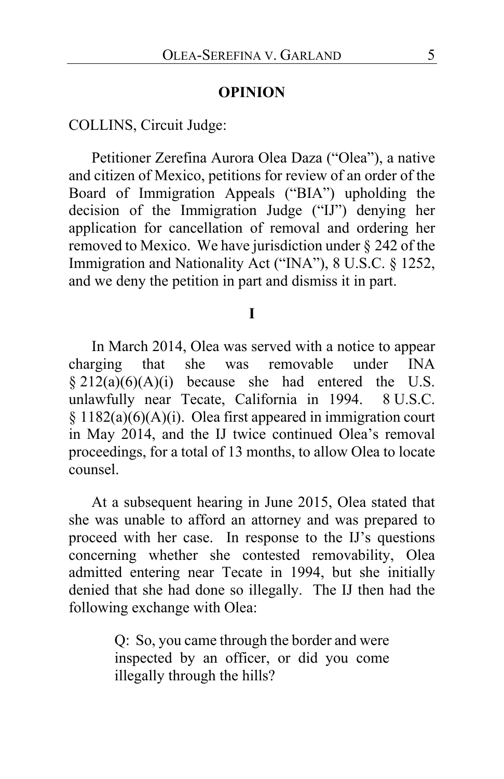#### **OPINION**

COLLINS, Circuit Judge:

Petitioner Zerefina Aurora Olea Daza ("Olea"), a native and citizen of Mexico, petitions for review of an order of the Board of Immigration Appeals ("BIA") upholding the decision of the Immigration Judge ("IJ") denying her application for cancellation of removal and ordering her removed to Mexico. We have jurisdiction under § 242 of the Immigration and Nationality Act ("INA"), 8 U.S.C. § 1252, and we deny the petition in part and dismiss it in part.

#### **I**

<span id="page-4-0"></span>In March 2014, Olea was served with a notice to appear charging that she was removable under INA  $§ 212(a)(6)(A)(i)$  because she had entered the U.S. unlawfully near Tecate, California in 1994. 8 U.S.C.  $§ 1182(a)(6)(A)(i)$ . Olea first appeared in immigration court in May 2014, and the IJ twice continued Olea's removal proceedings, for a total of 13 months, to allow Olea to locate counsel.

At a subsequent hearing in June 2015, Olea stated that she was unable to afford an attorney and was prepared to proceed with her case. In response to the IJ's questions concerning whether she contested removability, Olea admitted entering near Tecate in 1994, but she initially denied that she had done so illegally. The IJ then had the following exchange with Olea:

> Q: So, you came through the border and were inspected by an officer, or did you come illegally through the hills?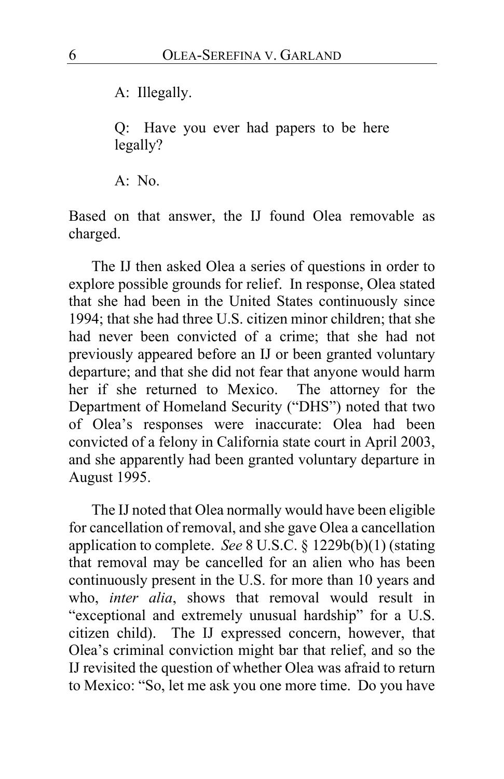A: Illegally.

Q: Have you ever had papers to be here legally?

A: No.

Based on that answer, the IJ found Olea removable as charged.

The IJ then asked Olea a series of questions in order to explore possible grounds for relief. In response, Olea stated that she had been in the United States continuously since 1994; that she had three U.S. citizen minor children; that she had never been convicted of a crime; that she had not previously appeared before an IJ or been granted voluntary departure; and that she did not fear that anyone would harm her if she returned to Mexico. The attorney for the Department of Homeland Security ("DHS") noted that two of Olea's responses were inaccurate: Olea had been convicted of a felony in California state court in April 2003, and she apparently had been granted voluntary departure in August 1995.

The IJ noted that Olea normally would have been eligible for cancellation of removal, and she gave Olea a cancellation application to complete. *See* 8 U.S.C. § 1229b(b)(1) (stating that removal may be cancelled for an alien who has been continuously present in the U.S. for more than 10 years and who, *inter alia*, shows that removal would result in "exceptional and extremely unusual hardship" for a U.S. citizen child). The IJ expressed concern, however, that Olea's criminal conviction might bar that relief, and so the IJ revisited the question of whether Olea was afraid to return to Mexico: "So, let me ask you one more time. Do you have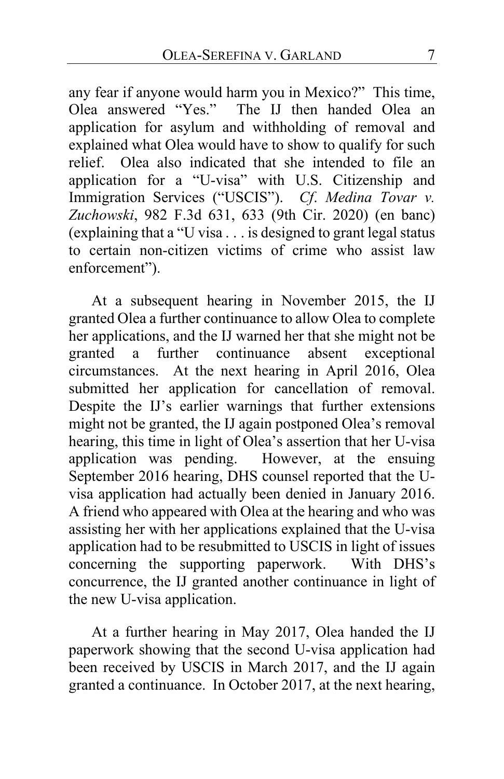any fear if anyone would harm you in Mexico?" This time, Olea answered "Yes." The IJ then handed Olea an application for asylum and withholding of removal and explained what Olea would have to show to qualify for such relief. Olea also indicated that she intended to file an application for a "U-visa" with U.S. Citizenship and Immigration Services ("USCIS"). *Cf*. *Medina Tovar v. Zuchowski*, 982 F.3d 631, 633 (9th Cir. 2020) (en banc) (explaining that a "U visa . . . is designed to grant legal status to certain non-citizen victims of crime who assist law enforcement").

At a subsequent hearing in November 2015, the IJ granted Olea a further continuance to allow Olea to complete her applications, and the IJ warned her that she might not be granted a further continuance absent exceptional circumstances. At the next hearing in April 2016, Olea submitted her application for cancellation of removal. Despite the IJ's earlier warnings that further extensions might not be granted, the IJ again postponed Olea's removal hearing, this time in light of Olea's assertion that her U-visa application was pending. However, at the ensuing September 2016 hearing, DHS counsel reported that the Uvisa application had actually been denied in January 2016. A friend who appeared with Olea at the hearing and who was assisting her with her applications explained that the U-visa application had to be resubmitted to USCIS in light of issues concerning the supporting paperwork. With DHS's concurrence, the IJ granted another continuance in light of the new U-visa application.

At a further hearing in May 2017, Olea handed the IJ paperwork showing that the second U-visa application had been received by USCIS in March 2017, and the IJ again granted a continuance. In October 2017, at the next hearing,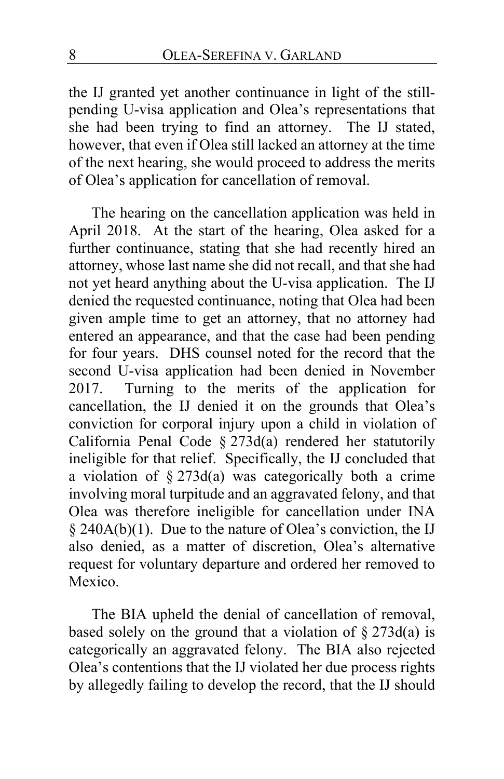the IJ granted yet another continuance in light of the stillpending U-visa application and Olea's representations that she had been trying to find an attorney. The IJ stated, however, that even if Olea still lacked an attorney at the time of the next hearing, she would proceed to address the merits of Olea's application for cancellation of removal.

<span id="page-7-0"></span>The hearing on the cancellation application was held in April 2018. At the start of the hearing, Olea asked for a further continuance, stating that she had recently hired an attorney, whose last name she did not recall, and that she had not yet heard anything about the U-visa application. The IJ denied the requested continuance, noting that Olea had been given ample time to get an attorney, that no attorney had entered an appearance, and that the case had been pending for four years. DHS counsel noted for the record that the second U-visa application had been denied in November 2017. Turning to the merits of the application for cancellation, the IJ denied it on the grounds that Olea's conviction for corporal injury upon a child in violation of California Penal Code § 273d(a) rendered her statutorily ineligible for that relief. Specifically, the IJ concluded that a violation of  $\S 273d(a)$  was categorically both a crime involving moral turpitude and an aggravated felony, and that Olea was therefore ineligible for cancellation under INA § 240A(b)(1). Due to the nature of Olea's conviction, the IJ also denied, as a matter of discretion, Olea's alternative request for voluntary departure and ordered her removed to Mexico.

The BIA upheld the denial of cancellation of removal, based solely on the ground that a violation of  $\S 273d(a)$  is categorically an aggravated felony. The BIA also rejected Olea's contentions that the IJ violated her due process rights by allegedly failing to develop the record, that the IJ should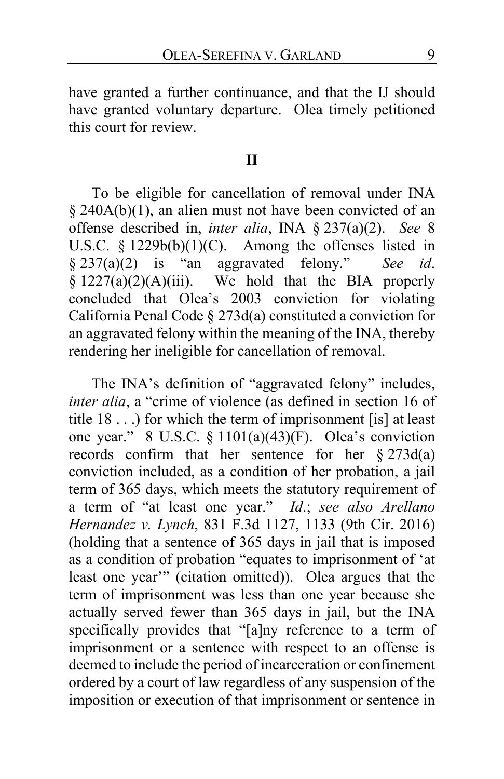have granted a further continuance, and that the IJ should have granted voluntary departure. Olea timely petitioned this court for review.

## **II**

To be eligible for cancellation of removal under INA § 240A(b)(1), an alien must not have been convicted of an offense described in, *inter alia*, INA § 237(a)(2). *See* 8 U.S.C.  $\S$  1229b(b)(1)(C). Among the offenses listed in  $\S$  237(a)(2) is "an aggravated felony." See id.  $§ 237(a)(2)$  is "an aggravated felony."  $§ 1227(a)(2)(A)(iii)$ . We hold that the BIA properly concluded that Olea's 2003 conviction for violating California Penal Code § 273d(a) constituted a conviction for an aggravated felony within the meaning of the INA, thereby rendering her ineligible for cancellation of removal.

The INA's definition of "aggravated felony" includes, *inter alia*, a "crime of violence (as defined in section 16 of title 18 . . .) for which the term of imprisonment [is] at least one year." 8 U.S.C. § 1101(a)(43)(F). Olea's conviction records confirm that her sentence for her § 273d(a) conviction included, as a condition of her probation, a jail term of 365 days, which meets the statutory requirement of a term of "at least one year." *Id*.; *see also Arellano Hernandez v. Lynch*, 831 F.3d 1127, 1133 (9th Cir. 2016) (holding that a sentence of 365 days in jail that is imposed as a condition of probation "equates to imprisonment of 'at least one year'" (citation omitted)). Olea argues that the term of imprisonment was less than one year because she actually served fewer than 365 days in jail, but the INA specifically provides that "[a]ny reference to a term of imprisonment or a sentence with respect to an offense is deemed to include the period of incarceration or confinement ordered by a court of law regardless of any suspension of the imposition or execution of that imprisonment or sentence in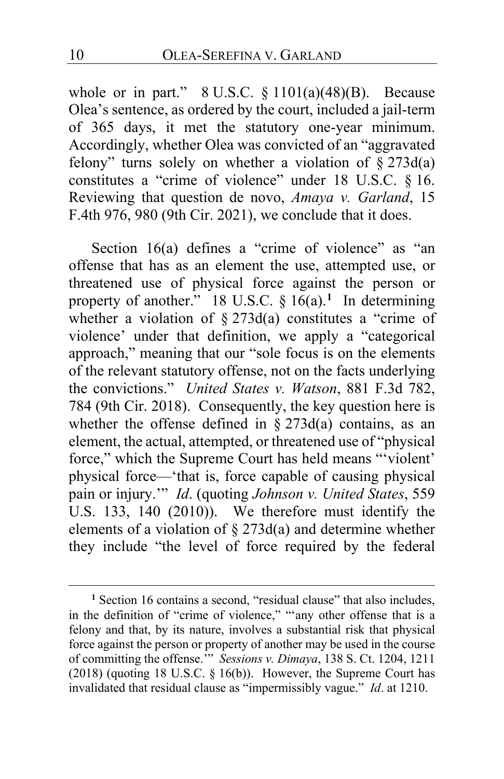whole or in part."  $8 \text{ U.S.C. } § 1101(a)(48)(B)$ . Because Olea's sentence, as ordered by the court, included a jail-term of 365 days, it met the statutory one-year minimum. Accordingly, whether Olea was convicted of an "aggravated felony" turns solely on whether a violation of  $\S 273d(a)$ constitutes a "crime of violence" under 18 U.S.C. § 16. Reviewing that question de novo, *Amaya v. Garland*, 15 F.4th 976, 980 (9th Cir. 2021), we conclude that it does.

Section 16(a) defines a "crime of violence" as "an offense that has as an element the use, attempted use, or threatened use of physical force against the person or property of another." 18 U.S.C. § 16(a).**[1](#page-9-0)** In determining whether a violation of  $\S 273d(a)$  constitutes a "crime of violence' under that definition, we apply a "categorical approach," meaning that our "sole focus is on the elements of the relevant statutory offense, not on the facts underlying the convictions." *United States v. Watson*, 881 F.3d 782, 784 (9th Cir. 2018). Consequently, the key question here is whether the offense defined in  $\S 273d(a)$  contains, as an element, the actual, attempted, or threatened use of "physical force," which the Supreme Court has held means "'violent' physical force—'that is, force capable of causing physical pain or injury.'" *Id*. (quoting *Johnson v. United States*, 559 U.S. 133, 140 (2010)). We therefore must identify the elements of a violation of  $\S 273d(a)$  and determine whether they include "the level of force required by the federal

<span id="page-9-0"></span><sup>&</sup>lt;sup>1</sup> Section 16 contains a second, "residual clause" that also includes, in the definition of "crime of violence," "'any other offense that is a felony and that, by its nature, involves a substantial risk that physical force against the person or property of another may be used in the course of committing the offense.'" *Sessions v. Dimaya*, 138 S. Ct. 1204, 1211 (2018) (quoting 18 U.S.C. § 16(b)). However, the Supreme Court has invalidated that residual clause as "impermissibly vague." *Id*. at 1210.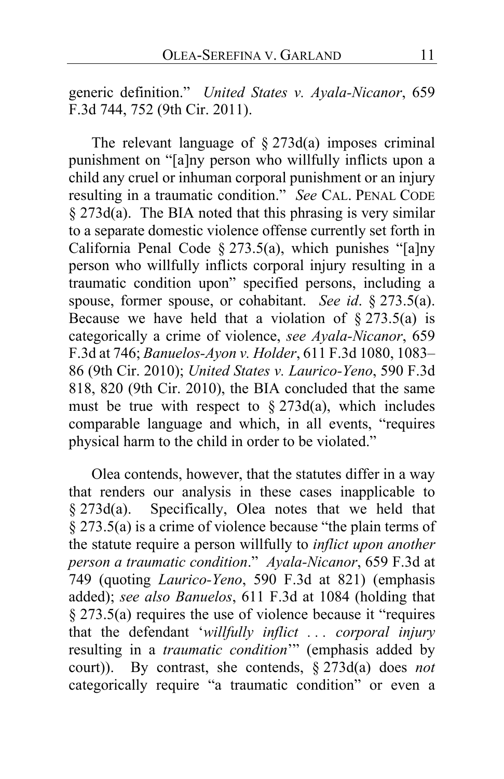generic definition." *United States v. Ayala-Nicanor*, 659 F.3d 744, 752 (9th Cir. 2011).

The relevant language of  $\S 273d(a)$  imposes criminal punishment on "[a]ny person who willfully inflicts upon a child any cruel or inhuman corporal punishment or an injury resulting in a traumatic condition." *See* CAL. PENAL CODE  $§$  273 $d(a)$ . The BIA noted that this phrasing is very similar to a separate domestic violence offense currently set forth in California Penal Code § 273.5(a), which punishes "[a]ny person who willfully inflicts corporal injury resulting in a traumatic condition upon" specified persons, including a spouse, former spouse, or cohabitant. *See id*. § 273.5(a). Because we have held that a violation of  $\S 273.5(a)$  is categorically a crime of violence, *see Ayala-Nicanor*, 659 F.3d at 746; *Banuelos-Ayon v. Holder*, 611 F.3d 1080, 1083– 86 (9th Cir. 2010); *United States v. Laurico-Yeno*, 590 F.3d 818, 820 (9th Cir. 2010), the BIA concluded that the same must be true with respect to  $\S 273d(a)$ , which includes comparable language and which, in all events, "requires physical harm to the child in order to be violated."

Olea contends, however, that the statutes differ in a way that renders our analysis in these cases inapplicable to § 273d(a). Specifically, Olea notes that we held that  $§$  273.5(a) is a crime of violence because "the plain terms of the statute require a person willfully to *inflict upon another person a traumatic condition*." *Ayala-Nicanor*, 659 F.3d at 749 (quoting *Laurico-Yeno*, 590 F.3d at 821) (emphasis added); *see also Banuelos*, 611 F.3d at 1084 (holding that § 273.5(a) requires the use of violence because it "requires that the defendant '*willfully inflict . . . corporal injury* resulting in a *traumatic condition*'" (emphasis added by court)). By contrast, she contends, § 273d(a) does *not* categorically require "a traumatic condition" or even a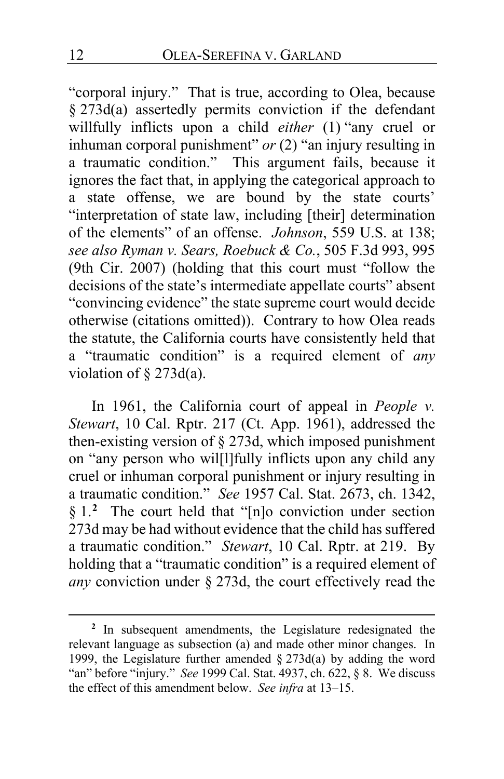"corporal injury." That is true, according to Olea, because § 273d(a) assertedly permits conviction if the defendant willfully inflicts upon a child *either* (1) "any cruel or inhuman corporal punishment" *or* (2) "an injury resulting in a traumatic condition." This argument fails, because it ignores the fact that, in applying the categorical approach to a state offense, we are bound by the state courts' "interpretation of state law, including [their] determination of the elements" of an offense. *Johnson*, 559 U.S. at 138; *see also Ryman v. Sears, Roebuck & Co.*, 505 F.3d 993, 995 (9th Cir. 2007) (holding that this court must "follow the decisions of the state's intermediate appellate courts" absent "convincing evidence" the state supreme court would decide otherwise (citations omitted)). Contrary to how Olea reads the statute, the California courts have consistently held that a "traumatic condition" is a required element of *any* violation of  $\S$  273d(a).

In 1961, the California court of appeal in *People v. Stewart*, 10 Cal. Rptr. 217 (Ct. App. 1961), addressed the then-existing version of § 273d, which imposed punishment on "any person who wil[l]fully inflicts upon any child any cruel or inhuman corporal punishment or injury resulting in a traumatic condition." *See* 1957 Cal. Stat. 2673, ch. 1342, § 1.**[2](#page-11-0)** The court held that "[n]o conviction under section 273d may be had without evidence that the child has suffered a traumatic condition." *Stewart*, 10 Cal. Rptr. at 219. By holding that a "traumatic condition" is a required element of *any* conviction under § 273d, the court effectively read the

<span id="page-11-0"></span>**<sup>2</sup>** In subsequent amendments, the Legislature redesignated the relevant language as subsection (a) and made other minor changes. In 1999, the Legislature further amended § 273d(a) by adding the word "an" before "injury." *See* 1999 Cal. Stat. 4937, ch. 622, § 8. We discuss the effect of this amendment below. *See infra* at [13–](#page-12-0)[15.](#page-14-0)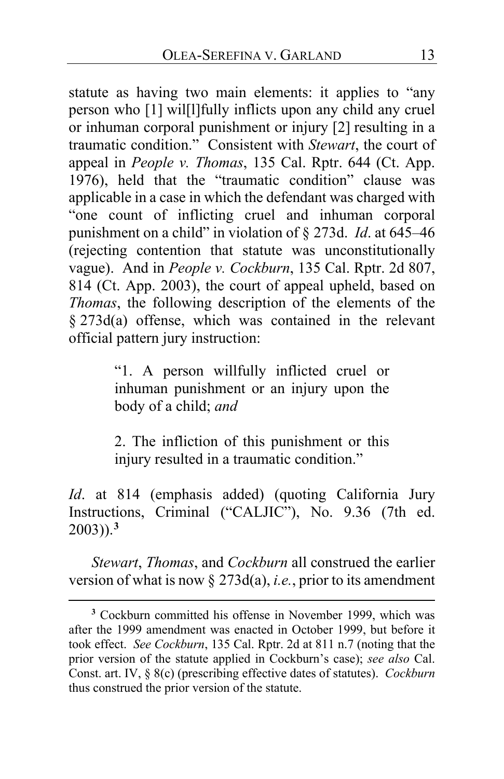statute as having two main elements: it applies to "any person who [1] wil[l]fully inflicts upon any child any cruel or inhuman corporal punishment or injury [2] resulting in a traumatic condition." Consistent with *Stewart*, the court of appeal in *People v. Thomas*, 135 Cal. Rptr. 644 (Ct. App. 1976), held that the "traumatic condition" clause was applicable in a case in which the defendant was charged with "one count of inflicting cruel and inhuman corporal punishment on a child" in violation of § 273d. *Id*. at 645–46 (rejecting contention that statute was unconstitutionally vague). And in *People v. Cockburn*, 135 Cal. Rptr. 2d 807, 814 (Ct. App. 2003), the court of appeal upheld, based on *Thomas*, the following description of the elements of the § 273d(a) offense, which was contained in the relevant official pattern jury instruction:

> "1. A person willfully inflicted cruel or inhuman punishment or an injury upon the body of a child; *and*

> 2. The infliction of this punishment or this injury resulted in a traumatic condition."

*Id*. at 814 (emphasis added) (quoting California Jury Instructions, Criminal ("CALJIC"), No. 9.36 (7th ed. 2003)).**[3](#page-12-1)**

<span id="page-12-0"></span>*Stewart*, *Thomas*, and *Cockburn* all construed the earlier version of what is now § 273d(a), *i.e.*, prior to its amendment

<span id="page-12-1"></span>**<sup>3</sup>** Cockburn committed his offense in November 1999, which was after the 1999 amendment was enacted in October 1999, but before it took effect. *See Cockburn*, 135 Cal. Rptr. 2d at 811 n.7 (noting that the prior version of the statute applied in Cockburn's case); *see also* Cal. Const. art. IV, § 8(c) (prescribing effective dates of statutes). *Cockburn* thus construed the prior version of the statute.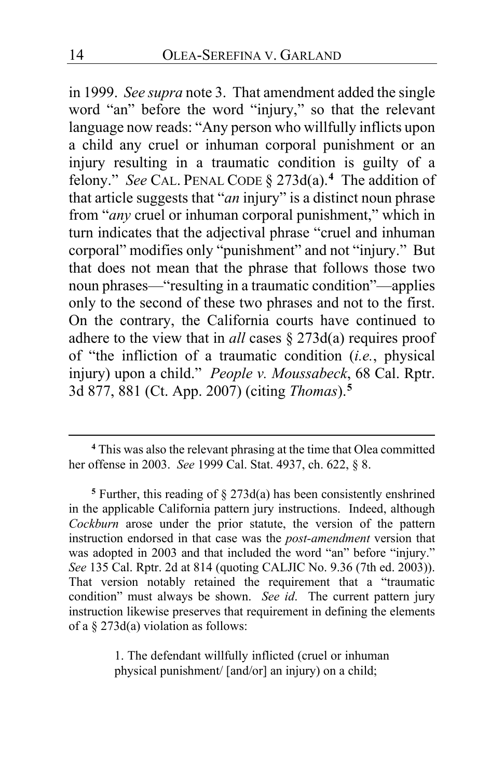in 1999. *See supra* note 3. That amendment added the single word "an" before the word "injury," so that the relevant language now reads: "Any person who willfully inflicts upon a child any cruel or inhuman corporal punishment or an injury resulting in a traumatic condition is guilty of a felony." *See* CAL. PENAL CODE § 273d(a).**[4](#page-13-0)** The addition of that article suggests that "*an* injury" is a distinct noun phrase from "*any* cruel or inhuman corporal punishment," which in turn indicates that the adjectival phrase "cruel and inhuman corporal" modifies only "punishment" and not "injury." But that does not mean that the phrase that follows those two noun phrases—"resulting in a traumatic condition"—applies only to the second of these two phrases and not to the first. On the contrary, the California courts have continued to adhere to the view that in *all* cases § 273d(a) requires proof of "the infliction of a traumatic condition (*i.e.*, physical injury) upon a child." *People v. Moussabeck*, 68 Cal. Rptr. 3d 877, 881 (Ct. App. 2007) (citing *Thomas*).**[5](#page-13-1)**

1. The defendant willfully inflicted (cruel or inhuman physical punishment/ [and/or] an injury) on a child;

<span id="page-13-0"></span>**<sup>4</sup>** This was also the relevant phrasing at the time that Olea committed her offense in 2003. *See* 1999 Cal. Stat. 4937, ch. 622, § 8.

<span id="page-13-1"></span><sup>&</sup>lt;sup>5</sup> Further, this reading of  $\S 273d(a)$  has been consistently enshrined in the applicable California pattern jury instructions. Indeed, although *Cockburn* arose under the prior statute, the version of the pattern instruction endorsed in that case was the *post-amendment* version that was adopted in 2003 and that included the word "an" before "injury." *See* 135 Cal. Rptr. 2d at 814 (quoting CALJIC No. 9.36 (7th ed. 2003)). That version notably retained the requirement that a "traumatic condition" must always be shown. *See id*. The current pattern jury instruction likewise preserves that requirement in defining the elements of a § 273d(a) violation as follows: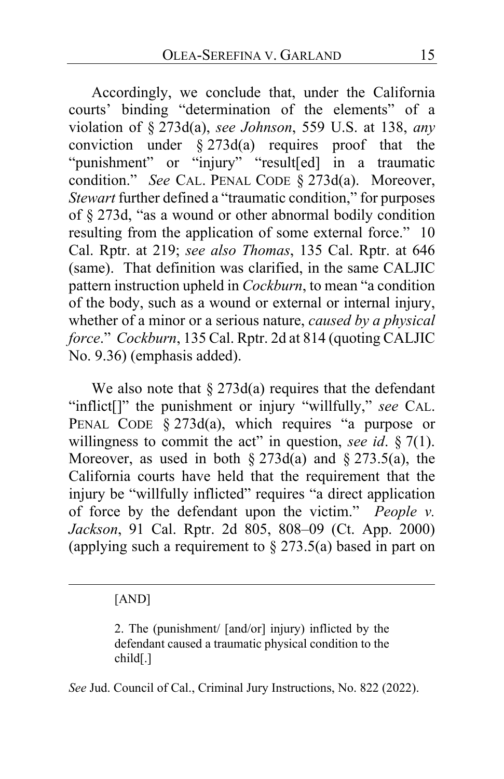<span id="page-14-0"></span>Accordingly, we conclude that, under the California courts' binding "determination of the elements" of a violation of § 273d(a), *see Johnson*, 559 U.S. at 138, *any* conviction under  $\S 273d(a)$  requires proof that the "punishment" or "injury" "result[ed] in a traumatic condition." *See* CAL. PENAL CODE § 273d(a). Moreover, *Stewart* further defined a "traumatic condition," for purposes of § 273d, "as a wound or other abnormal bodily condition resulting from the application of some external force." 10 Cal. Rptr. at 219; *see also Thomas*, 135 Cal. Rptr. at 646 (same). That definition was clarified, in the same CALJIC pattern instruction upheld in *Cockburn*, to mean "a condition of the body, such as a wound or external or internal injury, whether of a minor or a serious nature, *caused by a physical force*." *Cockburn*, 135 Cal. Rptr. 2d at 814 (quoting CALJIC No. 9.36) (emphasis added).

We also note that  $\S 273d(a)$  requires that the defendant "inflict[]" the punishment or injury "willfully," *see* CAL. PENAL CODE  $\S 273d(a)$ , which requires "a purpose or willingness to commit the act" in question, *see id*. § 7(1). Moreover, as used in both  $\S 273d(a)$  and  $\S 273.5(a)$ , the California courts have held that the requirement that the injury be "willfully inflicted" requires "a direct application of force by the defendant upon the victim." *People v. Jackson*, 91 Cal. Rptr. 2d 805, 808–09 (Ct. App. 2000) (applying such a requirement to  $\S 273.5(a)$  based in part on

#### [AND]

2. The (punishment/ [and/or] injury) inflicted by the defendant caused a traumatic physical condition to the child[.]

*See* Jud. Council of Cal., Criminal Jury Instructions, No. 822 (2022).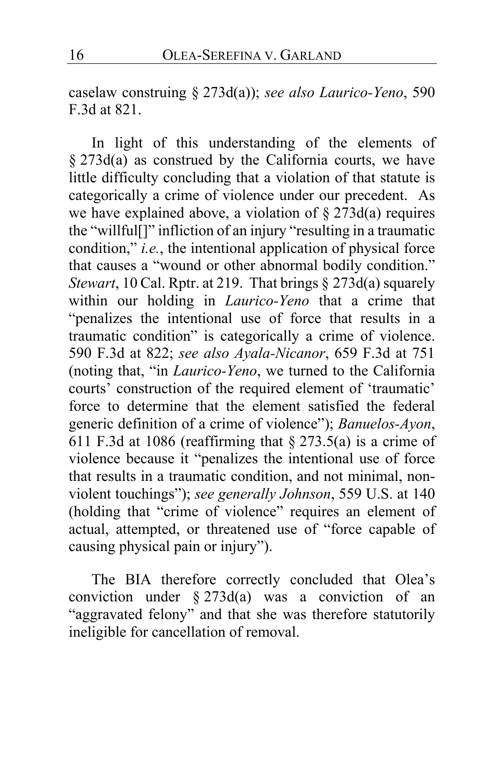caselaw construing § 273d(a)); *see also Laurico-Yeno*, 590 F.3d at 821.

In light of this understanding of the elements of § 273d(a) as construed by the California courts, we have little difficulty concluding that a violation of that statute is categorically a crime of violence under our precedent. As we have explained above, a violation of  $\S 273d(a)$  requires the "willful[]" infliction of an injury "resulting in a traumatic condition," *i.e.*, the intentional application of physical force that causes a "wound or other abnormal bodily condition." *Stewart*, 10 Cal. Rptr. at 219. That brings § 273d(a) squarely within our holding in *Laurico-Yeno* that a crime that "penalizes the intentional use of force that results in a traumatic condition" is categorically a crime of violence. 590 F.3d at 822; *see also Ayala-Nicanor*, 659 F.3d at 751 (noting that, "in *Laurico-Yeno*, we turned to the California courts' construction of the required element of 'traumatic' force to determine that the element satisfied the federal generic definition of a crime of violence"); *Banuelos-Ayon*, 611 F.3d at 1086 (reaffirming that  $\S 273.5(a)$  is a crime of violence because it "penalizes the intentional use of force that results in a traumatic condition, and not minimal, nonviolent touchings"); *see generally Johnson*, 559 U.S. at 140 (holding that "crime of violence" requires an element of actual, attempted, or threatened use of "force capable of causing physical pain or injury").

The BIA therefore correctly concluded that Olea's conviction under  $\S 273d(a)$  was a conviction of an "aggravated felony" and that she was therefore statutorily ineligible for cancellation of removal.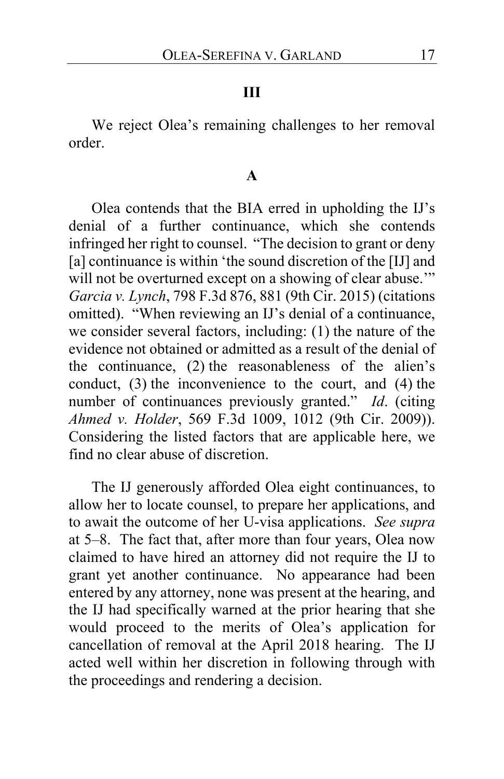## **III**

We reject Olea's remaining challenges to her removal order.

## **A**

Olea contends that the BIA erred in upholding the IJ's denial of a further continuance, which she contends infringed her right to counsel. "The decision to grant or deny [a] continuance is within 'the sound discretion of the [IJ] and will not be overturned except on a showing of clear abuse." *Garcia v. Lynch*, 798 F.3d 876, 881 (9th Cir. 2015) (citations omitted). "When reviewing an IJ's denial of a continuance, we consider several factors, including: (1) the nature of the evidence not obtained or admitted as a result of the denial of the continuance, (2) the reasonableness of the alien's conduct, (3) the inconvenience to the court, and (4) the number of continuances previously granted." *Id*. (citing *Ahmed v. Holder*, 569 F.3d 1009, 1012 (9th Cir. 2009)). Considering the listed factors that are applicable here, we find no clear abuse of discretion.

The IJ generously afforded Olea eight continuances, to allow her to locate counsel, to prepare her applications, and to await the outcome of her U-visa applications. *See supra* at [5](#page-4-0)[–8.](#page-7-0) The fact that, after more than four years, Olea now claimed to have hired an attorney did not require the IJ to grant yet another continuance. No appearance had been entered by any attorney, none was present at the hearing, and the IJ had specifically warned at the prior hearing that she would proceed to the merits of Olea's application for cancellation of removal at the April 2018 hearing. The IJ acted well within her discretion in following through with the proceedings and rendering a decision.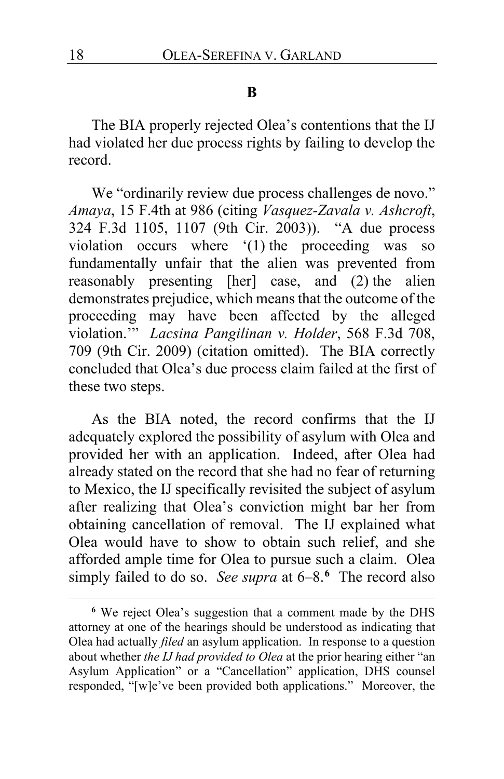#### **B**

The BIA properly rejected Olea's contentions that the IJ had violated her due process rights by failing to develop the record.

We "ordinarily review due process challenges de novo." *Amaya*, 15 F.4th at 986 (citing *Vasquez-Zavala v. Ashcroft*, 324 F.3d 1105, 1107 (9th Cir. 2003)). "A due process violation occurs where '(1) the proceeding was so fundamentally unfair that the alien was prevented from reasonably presenting [her] case, and (2) the alien demonstrates prejudice, which means that the outcome of the proceeding may have been affected by the alleged violation.'" *Lacsina Pangilinan v. Holder*, 568 F.3d 708, 709 (9th Cir. 2009) (citation omitted). The BIA correctly concluded that Olea's due process claim failed at the first of these two steps.

As the BIA noted, the record confirms that the IJ adequately explored the possibility of asylum with Olea and provided her with an application. Indeed, after Olea had already stated on the record that she had no fear of returning to Mexico, the IJ specifically revisited the subject of asylum after realizing that Olea's conviction might bar her from obtaining cancellation of removal. The IJ explained what Olea would have to show to obtain such relief, and she afforded ample time for Olea to pursue such a claim. Olea simply failed to do so. *See supra* at 6–8. **[6](#page-17-0)** The record also

<span id="page-17-0"></span>**<sup>6</sup>** We reject Olea's suggestion that a comment made by the DHS attorney at one of the hearings should be understood as indicating that Olea had actually *filed* an asylum application. In response to a question about whether *the IJ had provided to Olea* at the prior hearing either "an Asylum Application" or a "Cancellation" application, DHS counsel responded, "[w]e've been provided both applications." Moreover, the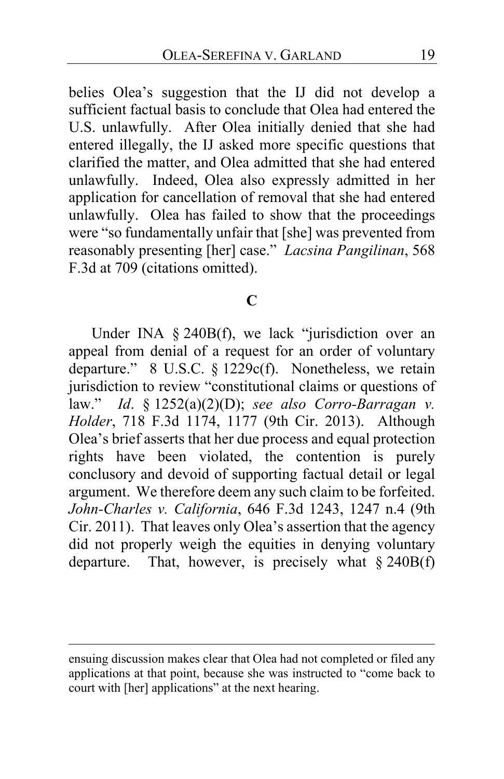belies Olea's suggestion that the IJ did not develop a sufficient factual basis to conclude that Olea had entered the U.S. unlawfully. After Olea initially denied that she had entered illegally, the IJ asked more specific questions that clarified the matter, and Olea admitted that she had entered unlawfully. Indeed, Olea also expressly admitted in her application for cancellation of removal that she had entered unlawfully. Olea has failed to show that the proceedings were "so fundamentally unfair that [she] was prevented from reasonably presenting [her] case." *Lacsina Pangilinan*, 568 F.3d at 709 (citations omitted).

#### **C**

Under INA § 240B(f), we lack "jurisdiction over an appeal from denial of a request for an order of voluntary departure." 8 U.S.C. § 1229c(f). Nonetheless, we retain jurisdiction to review "constitutional claims or questions of law." *Id*. § 1252(a)(2)(D); *see also Corro-Barragan v. Holder*, 718 F.3d 1174, 1177 (9th Cir. 2013). Although Olea's brief asserts that her due process and equal protection rights have been violated, the contention is purely conclusory and devoid of supporting factual detail or legal argument. We therefore deem any such claim to be forfeited. *John-Charles v. California*, 646 F.3d 1243, 1247 n.4 (9th Cir. 2011). That leaves only Olea's assertion that the agency did not properly weigh the equities in denying voluntary departure. That, however, is precisely what  $\S 240B(f)$ 

ensuing discussion makes clear that Olea had not completed or filed any applications at that point, because she was instructed to "come back to court with [her] applications" at the next hearing.